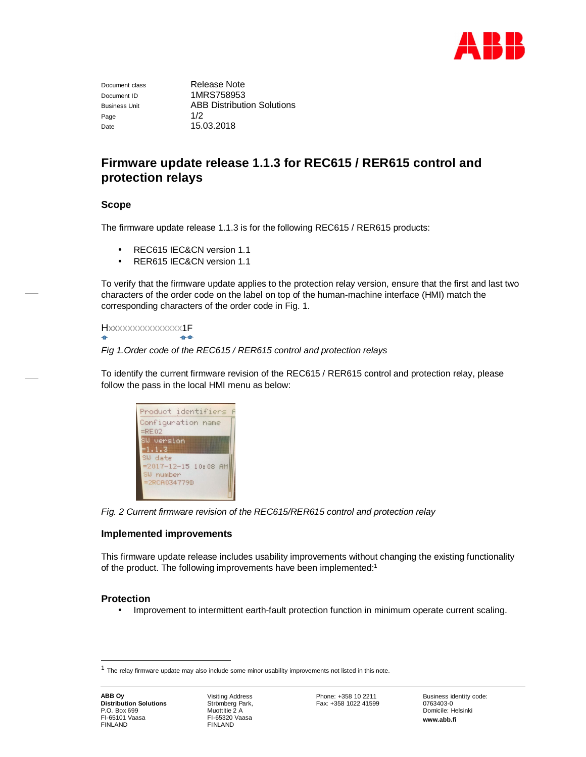

Page  $1/2$ Date 15.03.2018

Document class Release Note Document ID 1MRS758953 Business Unit ABB Distribution Solutions

# **Firmware update release 1.1.3 for REC615 / RER615 control and protection relays**

# **Scope**

The firmware update release 1.1.3 is for the following REC615 / RER615 products:

- REC615 IEC&CN version 1.1 J.
- $\ddot{\phantom{a}}$ RER615 IEC&CN version 1.1

To verify that the firmware update applies to the protection relay version, ensure that the first and last two characters of the order code on the label on top of the human-machine interface (HMI) match the corresponding characters of the order code in Fig. 1.

Hxxxxxxxxxxxxxxx1F 44

*Fig 1.Order code of the REC615 / RER615 control and protection relays*

To identify the current firmware revision of the REC615 / RER615 control and protection relay, please follow the pass in the local HMI menu as below:

| Product identifiers                    |
|----------------------------------------|
| Configuration name                     |
| $=$ RE02                               |
| SW version                             |
| $=1.1.3$                               |
| SW date<br>$= 2017 - 12 - 15$ 10:08 AM |
| SW number                              |
| $=2$ RCA034779D                        |
|                                        |
|                                        |

*Fig. 2 Current firmware revision of the REC615/RER615 control and protection relay*

## **Implemented improvements**

This firmware update release includes usability improvements without changing the existing functionality of the product. The following improvements have been implemented:<sup>1</sup>

## **Protection**

Improvement to intermittent earth-fault protection function in minimum operate current scaling.

<sup>&</sup>lt;sup>1</sup> The relay firmware update may also include some minor usability improvements not listed in this note.